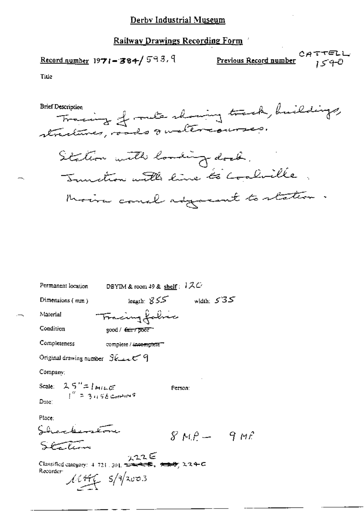Record number  $1971 - 384 / 593.9$ 

 $CATTELL$ <u>Previous Record number</u>  $1540$ 

Title

| DBYIM & room 49 & shelf: $12C$<br>Permanent location                                                                                                                       |              |
|----------------------------------------------------------------------------------------------------------------------------------------------------------------------------|--------------|
| leagth: $855$<br>Dimensions $(mn)$                                                                                                                                         | width: $535$ |
| Tracing fabric<br>Material                                                                                                                                                 |              |
| Condition<br>good / fair / poor                                                                                                                                            |              |
| Completeness<br>complete / incomplete""                                                                                                                                    |              |
| Original drawing number $\mathcal{G}$ E and $\mathcal{G}$                                                                                                                  |              |
| Company;                                                                                                                                                                   |              |
| Scale: $25'' = 1$ MILE<br>$I'' = 3.156$ CHMINS<br>Dute:                                                                                                                    | Person:      |
| Place:<br>سترتق<br>エエエモ<br>Classified category: 4-721-301, https://www.classified.category: 4-721-301, https://www.classified.c<br>Recorder:<br>$\mathcal{M}$ the s/g/2003 | $8MP - 9MP$  |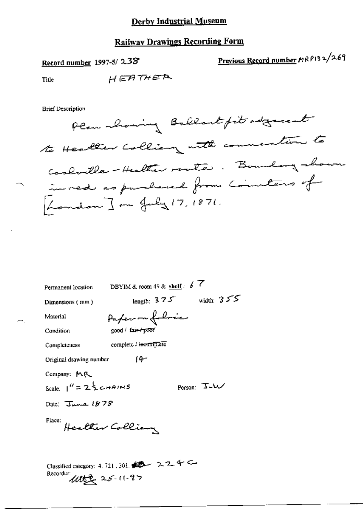## **Railway Drawings Recording Form**

## Record number 1997-5/238

# Previous Record number MRP132/269

Title

HEATHER

**Brief Description** 

Plan mhowing Ballant fit adgreent to Healther Colliany with connection to Coolville-Healther route. Boundary shown inved as purhased from Commeters of London ] on July 17, 1871.

| DBYIM & room 49 & shelf: $\oint \overline{f}$<br>Permanent location                                                   |
|-----------------------------------------------------------------------------------------------------------------------|
| width: $355$<br>length: $3.7.5$<br>Dimensions $(mm)$                                                                  |
| Paper on followic<br>Material                                                                                         |
| good / fair-/ poor<br>Condition                                                                                       |
| complete / incomplete<br>Completeness                                                                                 |
| -14<br>Original drawing number                                                                                        |
| Company: MR                                                                                                           |
| Scale: $1'' = 2\frac{1}{2}$ CHAINS<br>Person: J-W                                                                     |
| Date: $\overline{J}$ we 1878                                                                                          |
| Place:<br>Healther Collian                                                                                            |
| Classified category: 4, 721, 301, $\bullet$ $\bullet$ $\star$ $\star$ $\leftarrow$<br>Recordur:<br>$445225 - 11 - 97$ |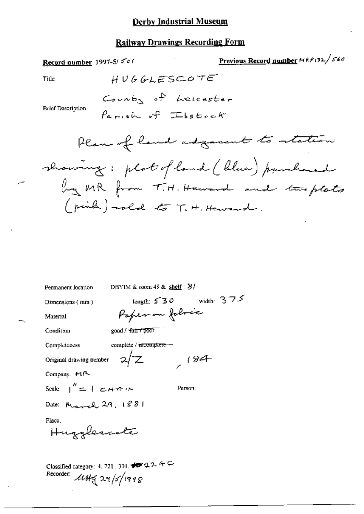### **Railway Drawings Recording Form**

Original drawing nember

Company, MR

Scale:  $\int_0^{\prime\prime} = 1$  c  $H \rightarrow H \rightarrow H$ 

Person:

 $184$ 

Date: March 29, 1881

Place:

می

Hugglescote

Classified category: 4, 721, 301, 199 224 C Recorder: 1144 29/5/1998

 $\sqrt{z}$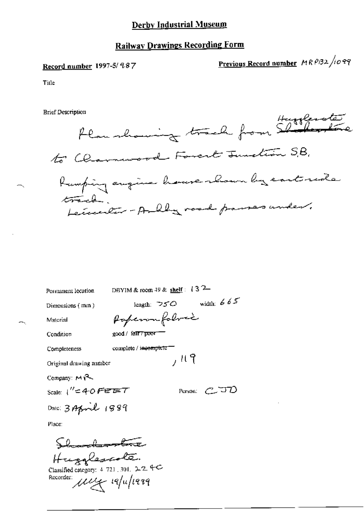#### **Railway Drawings Recording Form**

#### Record number 1997-5/ 987

Previous Record number MRP32/1099

Title

**Brief Description** 



DBYIM & room 49 & shelf:  $13^2$ -Permanent location length:  $\neg$ 50 width: 665 Dimensions (mm) Paperon foloric Material good / fall?"poor" Condition complete / incomplete" Completeness  $,119$ Original drawing number Company:  $M$  $\sim$ Scale:  $1'' = 40$  FEET Person:  $C$ JD Date: 3 April 1889 Place: Shandwarter

Hugglescole.<br>Classified category: 4 721, 301. 22 40 Recorder: uy 19/11/1999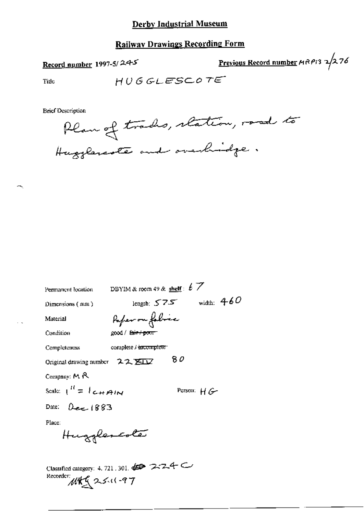## **Railway Drawings Recording Form**

## Record number 1997-5/24-5

Previous Record number  $MRPI3$   $2/276$ 

Title

$$
H\,U\,G\,GL\,ESC\,O\,T\,E^-
$$

**Brief Description** 



| Permanent location                                      | DBYIM & room 49 & shelf: $\cancel{t}$ 7      |               |
|---------------------------------------------------------|----------------------------------------------|---------------|
| Dimensions $($ mm $)$                                   | length: $575$                                | width: $4.60$ |
| Material                                                | Paper on folice                              |               |
| Condition                                               | good / fair / pour                           |               |
| Completeness                                            | complete / incomplete                        |               |
| Original drawing number $22 \times 12$                  |                                              | 80            |
| Company: $M$ $R$                                        |                                              |               |
| Scale: $\int_{0}^{H}$ = $\int_{0}^{H}$ + $\int_{0}^{H}$ |                                              | Person: $H G$ |
| Date: $\Omega_{\text{max}}$ (883                        |                                              |               |
| Place:                                                  |                                              |               |
| Hugglescola                                             |                                              |               |
|                                                         | Classified category: 4, 721, 301, 45 7-7-4-C |               |
| Recorder:<br>MAG2511-97                                 |                                              |               |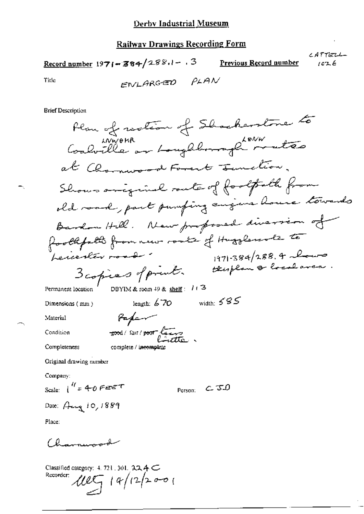Record number 1971-384/288.1-13 Previous Record number  $1026$ 

CATTELL-

Title

ENLARGED PLAN

**Brief Description** 

Plan of rection of Shockerstone to wwere were toughbounghten at Charmeroad Farent Junction. Shows areginal rante of footpath from old road, part pumping august house towards Bardon Hill. New proposed diversion of foothfold from new route of Hugglenole to  $1971 - 384/288.4$ beneater road ttisplan & local ave. 3 copies of print. DBYIM & room 49 & shelf:  $1/3$ Permanent location width: 585 length:  $670$ Dimensions (mm) Paper Material food/fair/poor lives Condition complete / incomplet Completeness Original drawing number Company: Scale:  $\int_0^{H}$  = 40 FEET Person:  $C$  JD Date:  $A_{\text{avg}}$  10, 1889 Place: Charmerod

Classified category:  $4.721$ ,  $301$ ,  $22.4 \text{C}$  $14/12/2001$ Recorder: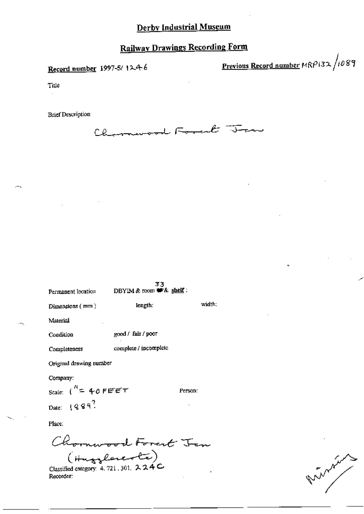Record number 1997-5/1246

Previous Record number MRP132/1089

Title

**Brief Description** 

Charmemoral Forcest Trans

| Permanent location          | 33<br>DBYIM $\&$ room $#E$ shelf: |         |  |  |
|-----------------------------|-----------------------------------|---------|--|--|
| Dimensions (mm)             | length:                           | width;  |  |  |
| Material                    |                                   |         |  |  |
| Condition                   | good / fair / poor                |         |  |  |
| Completeness                | complete / incomplete             |         |  |  |
| Original drawing number     |                                   |         |  |  |
| Company:                    |                                   |         |  |  |
| scale: $\int_0^R = 40$ FEET |                                   | Person: |  |  |
| Date: $1899$ ?              |                                   |         |  |  |
| Place:                      |                                   |         |  |  |
|                             | l Forent                          |         |  |  |

(Hugglerente) Classified category: 4, 721, 301, 224C Recorder:

AMAIL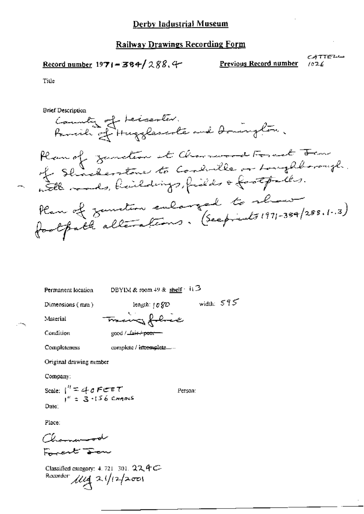$$
\underline{\text{Record number}} 1971 - 384 / 288.4
$$

Previous Record number

 $CATTE^{L}$  $1026$ 

Title

**Brief Description** 

County of Leicenter.<br>Parrille of Hugglescote and Domington. Plan of zunden et Charmond Format Form<br>of Shaderstone to Condulle or Longhborough. Han of zunsten enlarged to show

width:  $595$ 

Person:

Permanent location

DBYIM & room 49 & shelf  $\cdot$  11 3

Dimensions (mm)

length:  $1080$ Traing filice

Condition

Material

good / La<del>ir / poor -</del>

complete / intemplete..... Completeness

Original drawing nember

Company:

Scale:  $\int_{1}^{H} = 40$  FEET<br> $\int_{1}^{H} = 3.156$  CHAMS Date:

Place:

Chamanood Frent Fen

Classified category: 4.721-301. 224C Recorder  $\mu_{4}$  21/12/2001